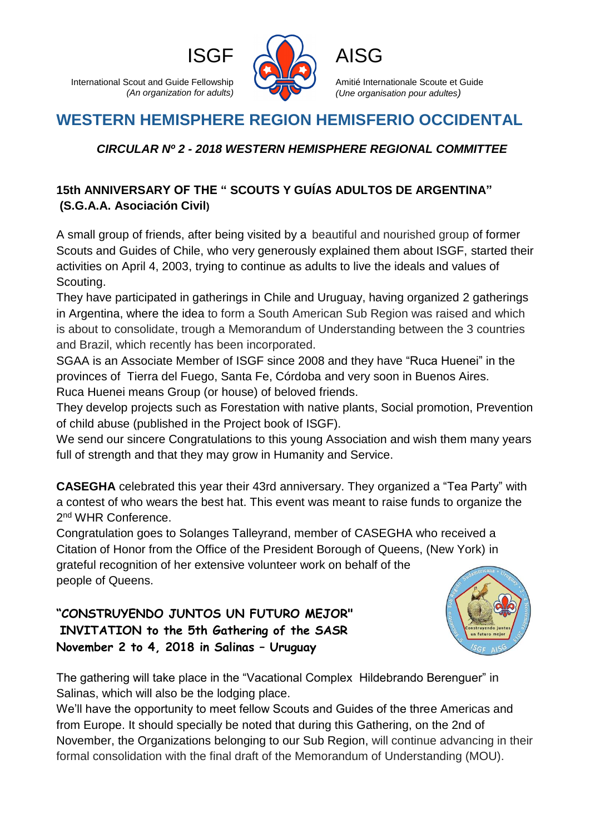International Scout and Guide Fellowship *(An organization for adults)*



Amitié Internationale Scoute et Guide *(Une organisation pour adultes)*

# **WESTERN HEMISPHERE REGION HEMISFERIO OCCIDENTAL**

## *CIRCULAR Nº 2 - 2018 WESTERN HEMISPHERE REGIONAL COMMITTEE*

## **15th ANNIVERSARY OF THE " SCOUTS Y GUÍAS ADULTOS DE ARGENTINA" (S.G.A.A. Asociación Civil)**

A small group of friends, after being visited by a beautiful and nourished group of former Scouts and Guides of Chile, who very generously explained them about ISGF, started their activities on April 4, 2003, trying to continue as adults to live the ideals and values of Scouting.

They have participated in gatherings in Chile and Uruguay, having organized 2 gatherings in Argentina, where the idea to form a South American Sub Region was raised and which is about to consolidate, trough a Memorandum of Understanding between the 3 countries and Brazil, which recently has been incorporated.

SGAA is an Associate Member of ISGF since 2008 and they have "Ruca Huenei" in the provinces of Tierra del Fuego, Santa Fe, Córdoba and very soon in Buenos Aires. Ruca Huenei means Group (or house) of beloved friends.

They develop projects such as Forestation with native plants, Social promotion, Prevention of child abuse (published in the Project book of ISGF).

We send our sincere Congratulations to this young Association and wish them many years full of strength and that they may grow in Humanity and Service.

**CASEGHA** celebrated this year their 43rd anniversary. They organized a "Tea Party" with a contest of who wears the best hat. This event was meant to raise funds to organize the 2<sup>nd</sup> WHR Conference.

Congratulation goes to Solanges Talleyrand, member of CASEGHA who received a Citation of Honor from the Office of the President Borough of Queens, (New York) in grateful recognition of her extensive volunteer work on behalf of the people of Queens.

**"CONSTRUYENDO JUNTOS UN FUTURO MEJOR" INVITATION to the 5th Gathering of the SASR November 2 to 4, 2018 in Salinas – Uruguay**



The gathering will take place in the "Vacational Complex Hildebrando Berenguer" in Salinas, which will also be the lodging place.

We'll have the opportunity to meet fellow Scouts and Guides of the three Americas and from Europe. It should specially be noted that during this Gathering, on the 2nd of November, the Organizations belonging to our Sub Region, will continue advancing in their formal consolidation with the final draft of the Memorandum of Understanding (MOU).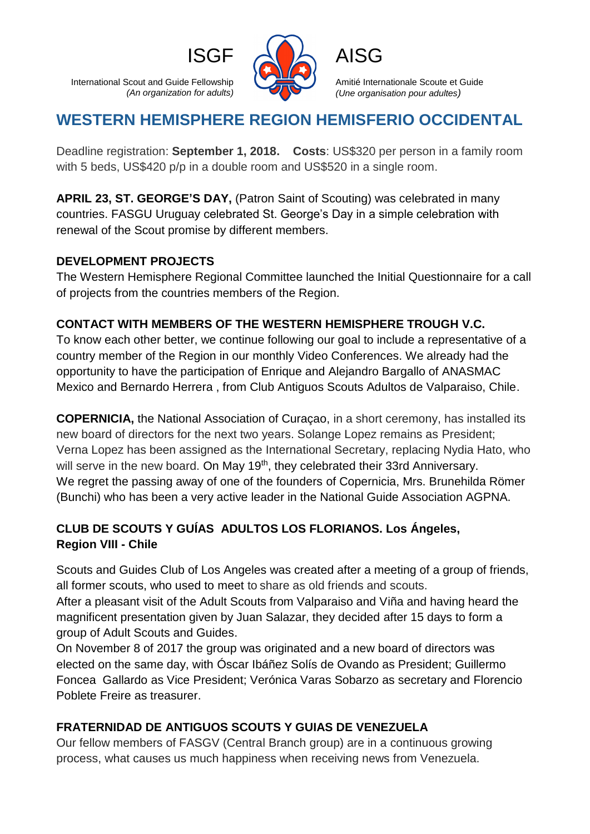International Scout and Guide Fellowship *(An organization for adults)*



Amitié Internationale Scoute et Guide *(Une organisation pour adultes)*

## **WESTERN HEMISPHERE REGION HEMISFERIO OCCIDENTAL**

Deadline registration: **September 1, 2018. Costs**: US\$320 per person in a family room with 5 beds, US\$420 p/p in a double room and US\$520 in a single room.

**APRIL 23, ST. GEORGE'S DAY,** (Patron Saint of Scouting) was celebrated in many countries. FASGU Uruguay celebrated St. George's Day in a simple celebration with renewal of the Scout promise by different members.

#### **DEVELOPMENT PROJECTS**

The Western Hemisphere Regional Committee launched the Initial Questionnaire for a call of projects from the countries members of the Region.

#### **CONTACT WITH MEMBERS OF THE WESTERN HEMISPHERE TROUGH V.C.**

To know each other better, we continue following our goal to include a representative of a country member of the Region in our monthly Video Conferences. We already had the opportunity to have the participation of Enrique and Alejandro Bargallo of ANASMAC Mexico and Bernardo Herrera , from Club Antiguos Scouts Adultos de Valparaiso, Chile.

**COPERNICIA,** the National Association of Curaçao, in a short ceremony, has installed its new board of directors for the next two years. Solange Lopez remains as President; Verna Lopez has been assigned as the International Secretary, replacing Nydia Hato, who will serve in the new board. On May 19<sup>th</sup>, they celebrated their 33rd Anniversary. We regret the passing away of one of the founders of Copernicia, Mrs. Brunehilda Römer (Bunchi) who has been a very active leader in the National Guide Association AGPNA.

### **CLUB DE SCOUTS Y GUÍAS ADULTOS LOS FLORIANOS. Los Ángeles, Region VIII - Chile**

Scouts and Guides Club of Los Angeles was created after a meeting of a group of friends, all former scouts, who used to meet to share as old friends and scouts.

After a pleasant visit of the Adult Scouts from Valparaiso and Viña and having heard the magnificent presentation given by Juan Salazar, they decided after 15 days to form a group of Adult Scouts and Guides.

On November 8 of 2017 the group was originated and a new board of directors was elected on the same day, with Óscar Ibáñez Solís de Ovando as President; Guillermo Foncea Gallardo as Vice President; Verónica Varas Sobarzo as secretary and Florencio Poblete Freire as treasurer.

### **FRATERNIDAD DE ANTIGUOS SCOUTS Y GUIAS DE VENEZUELA**

Our fellow members of FASGV (Central Branch group) are in a continuous growing process, what causes us much happiness when receiving news from Venezuela.